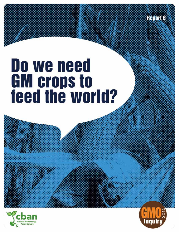Report 6

# Do we need **GM crops to<br>feed the world?**



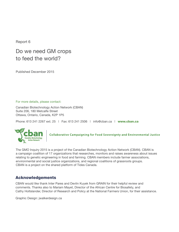Report 6

## Do we need GM crops to feed the world?

Published December 2015

For more details, please contact:

Canadian Biotechnology Action Network (CBAN) Suite 206, 180 Metcalfe Street Ottawa, Ontario, Canada, K2P 1P5

Phone: 613 241 2267 ext. 25 | Fax: 613 241 2506 | info@cban.ca | [www.cban.ca](http://www.cban.ca�)



**Collaborative Campaigning for Food Sovereignty and Environmental Justice** 

The GMO Inquiry 2015 is a project of the Canadian Biotechnology Action Network (CBAN). CBAN is a campaign coalition of 17 organizations that researches, monitors and raises awareness about issues relating to genetic engineering in food and farming. CBAN members include farmer associations, environmental and social justice organizations, and regional coalitions of grassroots groups. CBAN is a project on the shared platform of Tides Canada.

#### Acknowledgements

CBAN would like thank Inter Pares and Devlin Kuyek from GRAIN for their helpful review and comments. Thanks also to Mariam Mayet, Director of the African Centre for Biosafety, and Cathy Holtslander, Director of Research and Policy at the National Farmers Union, for their assistance.

Graphic Design: [jwalkerdesign.ca](http://www.jwalkerdesign.ca)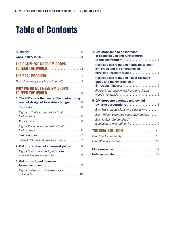# Table of Contents

| GMO Inquiry 2015 3                                                    |  |
|-----------------------------------------------------------------------|--|
| <b>THE CLAIM: WE NEED GM CROPS</b><br><b>TO FEED THE WORLD</b> 4      |  |
| <b>THE REAL PROBLEM.</b> 5                                            |  |
| Box: How many people are hungry?5                                     |  |
| WHY WE DO NOT NEED GM CROPS                                           |  |
| 1. The GM crops that are on the market today                          |  |
| are not designed to address hunger 6                                  |  |
|                                                                       |  |
| Figure 1: Traits as percent of total                                  |  |
|                                                                       |  |
| Figure 2: Crops as percent of total                                   |  |
|                                                                       |  |
| Table 1: Global GM area by country 7                                  |  |
| 2. GM crops have not increased yields 8                               |  |
| Figure 3: Bt cotton: Adoption rates<br>and yield increases in India 9 |  |
| 3. GM crops do not increase<br>farmer incomes9                        |  |
| Figure 4: Rising cost of seed prices                                  |  |
|                                                                       |  |

| 4. GM crops lead to an increase                                         |  |  |  |  |  |  |  |
|-------------------------------------------------------------------------|--|--|--|--|--|--|--|
| in pesticide use and further harm                                       |  |  |  |  |  |  |  |
| to the environment11                                                    |  |  |  |  |  |  |  |
| Pesticide use related to herbicide-tolerant                             |  |  |  |  |  |  |  |
| (Ht) crops and the emergence of<br>herbicide-resistant weeds11          |  |  |  |  |  |  |  |
| Pesticide use related to insect-resistant<br>crops and the emergence of |  |  |  |  |  |  |  |
| Bt-resistant insects11                                                  |  |  |  |  |  |  |  |
| Figure 5: Increase in glyphosate-resistant<br>weeds worldwide12         |  |  |  |  |  |  |  |
| 5. GM crops are patented and owned                                      |  |  |  |  |  |  |  |
| by large corporations 13                                                |  |  |  |  |  |  |  |
| Box: Haiti rejects Monsanto's donation 14                               |  |  |  |  |  |  |  |
| Box: African countries reject GM food aid  .14                          |  |  |  |  |  |  |  |
| Box: Is GM "Golden Rice"                                                |  |  |  |  |  |  |  |
| a solution to malnutrition? 15                                          |  |  |  |  |  |  |  |
|                                                                         |  |  |  |  |  |  |  |
| Box: Food sovereignty 16                                                |  |  |  |  |  |  |  |
|                                                                         |  |  |  |  |  |  |  |
| More resources19                                                        |  |  |  |  |  |  |  |
|                                                                         |  |  |  |  |  |  |  |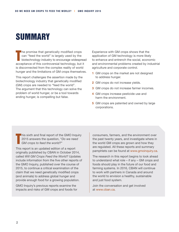# **SUMMARY**

T he promise that genetically modified crops can "feed the world" is largely used by the biotechnology industry to encourage widespread acceptance of this controversial technology, but it is disconnected from the complex reality of world hunger and the limitations of GM crops themselves.

This report challenges the assertion made by the biotechnology industry that genetically modified (GM) crops are needed to "feed the world". The argument that this technology can solve the problem of world hunger, or be a tool towards ending hunger, is compelling but false.

Experience with GM crops shows that the application of GM technology is more likely to enhance and entrench the social, economic and environmental problems created by industrial agriculture and corporate control.

- **1** GM crops on the market are not designed to address hunger.
- **2** GM crops do not increase yields.
- **3** GM crops do not increase farmer incomes.
- **4** GM crops increase pesticide use and harm the environment.
- **5** GM crops are patented and owned by large corporations.

T **his sixth and final report of the GMO Inquiry** 2015 answers the question, "*Do we need GM crops to feed the world?*"

This report is an updated edition of a report originally published by CBAN in October 2014, called *Will GM Crops Feed the World?* Updates include information from the five other reports of the GMO Inquiry, published over the course of 2015, to continue a critical examination of the claim that we need genetically modified crops (and animals) to address global hunger and provide enough food for a growing population.

GMO Inquiry's previous reports examine the impacts and risks of GM crops and foods for

consumers, farmers, and the environment over the past twenty years, and investigate where in the world GM crops are grown and how they are regulated. All these reports and summary pamphlets can be found at [www.gmoinquiry.ca.](http://www.gmoinquiry.ca)

The research in this report begins to look ahead to understand what role – if any – GM crops and foods should play in the future of our food and farming systems. In 2016, CBAN will continue to work with partners in Canada and around the world to envision a healthy, sustainable and just food system.

Join the conversation and get involved at [www.cban.ca](http://www.cban.ca).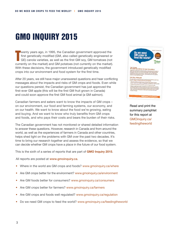# GMO Inquiry 2015

T wenty years ago, in 1995, the Canadian government approved the first genetically modified (GM, also called genetically engineered or GE) canola varieties, as well as the first GM soy, GM tomatoes (not currently on the market) and GM potatoes (not currently on the market). With these decisions, the government introduced genetically modified crops into our environment and food system for the first time.

After 20 years, we still have major unanswered questions and hear conflicting messages about the impacts and risks of GM crops and foods. Even while our questions persist, the Canadian government has just approved the first-ever GM apple (this will be the first GM fruit grown in Canada) and could soon approve the first GM food animal (a GM salmon).

Canadian farmers and eaters want to know the impacts of GM crops – on our environment, our food and farming systems, our economy, and on our health. We want to know about the food we're growing, eating and buying. And we want to know who truly benefits from GM crops and foods, and who pays their costs and bears the burden of their risks.

The Canadian government has not monitored or shared detailed information to answer these questions. However, research in Canada and from around the world, as well as the experiences of farmers in Canada and other countries, helps shed light on the problems with GM over the past two decades. It's time to bring our research together and assess the evidence, so that we can decide whether GM crops have a place in the future of our food system.

This is the sixth of a series of reports that are part of **GMO Inquiry 2015**.

All reports are posted at www.[gmoinquiry.ca](http://www.gmoinquiry.ca).

- Where in the world are GM crops and foods? [www.gmoinquiry.ca/where](http://www.gmoinquiry.ca/where)
- Are GM crops better for the environment? [www.gmoinquiry.ca/environment](http://www.gmoinquiry.ca/environment)
- Are GM foods better for consumers? [www.gmoinquiry.ca/consumers](http://www.gmoinquiry.ca/consumer)
- Are GM crops better for farmers? [www.gmoinquiry.ca/farmers](http://www.gmoinquiry.ca/farmers)
- Are GM crops and foods well regulated? [www.gmoinquiry.ca/regulation](http://www.gmoinquiry.ca/regulation)
- Do we need GM crops to feed the world? [www.gmoinquiry.ca/f](http://www.gmoinquiry.ca/feedingtheworld)eedingtheworld



Read and print the summary pamphlet for this report at [GMOinquiry.ca/](http://www.GMOinquiry.ca/regulation) feedingtheworld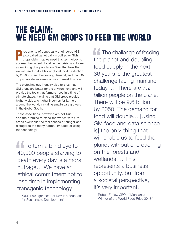# The claim: We need GM crops to feed the world

P roponents of genetically engineered (GE; also called genetically modified or GM) crops claim that we need this technology to address the current global hunger crisis, and to feed a growing global population. We often hear that we will need to double our global food production by 2050 to meet the growing demand, and that GM crops provide an essential way to meet this goal.

The biotechnology industry also tells us that GM crops are better for the environment, and will provide the tools that farmers need in a time of climate chaos. It claims that GM crops provide higher yields and higher incomes for farmers around the world, including small-scale growers in the Global South.

These assertions, however, are not true, and the promise to "feed the world" with GM crops overlooks the real causes of hunger and disregards the many harmful impacts of using the technology.

**To turn a blind eye to** 40,000 people starving to death every day is a moral outrage… We have an ethical commitment not to lose time in implementing transgenic technology.

**The challenge of feeding** the planet and doubling food supply in the next 36 years is the greatest challenge facing mankind today. … There are 7.2 billion people on the planet. There will be 9.6 billion by 2050. The demand for food will double… [Using GM food and data science is] the only thing that will enable us to feed the planet without encroaching on the forests and wetlands…. This represents a business opportunity, but from a societal perspective, it's very important.

— Robert Fraley, CEO of Monsanto, Winner of the World Food Prize 2013<sup>2</sup>

<sup>—</sup> Klaus Leisinger, head of Novartis Foundation for Sustainable Development<sup>1</sup>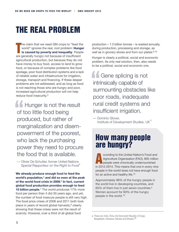# the real problem

T he claim that we need GM crops to "feed the world" ignores the real, root problem: **Hunger is caused by poverty and inequality**. People are generally hungry not because of insufficient agricultural production, but because they do not have money to buy food, access to land to grow food, or because of complex problems like food spoilage, poor food distribution systems and a lack of reliable water and infrastructure for irrigation, storage, transport and financing. If these deeper problems are not addressed, and as long as food is not reaching those who are hungry and poor, increased agricultural production will not help reduce food insecurity.3

Hunger is not the result of too little food being produced, but rather of marginalization and disempowerment of the poorest, who lack the purchasing power they need to procure the food that is available.

— Olivier De Schutter, former United Nations Special Rapporteur on the Right to Food<sup>4</sup>

**We already produce enough food to feed the world's population,**<sup>5</sup> **and did so even at the peak of the world food crisis in 2008.**<sup>6</sup> **In fact, current global food production provides enough to feed 10 billion people.**<sup>7</sup> The world produces 17% more food per person than it did 30 years ago, and yet, the number of food insecure people is still very high. The food price crises of 2008 and 2011 both took place in years of record global harvests,<sup>8</sup> clearly showing that these crises were not the result of scarcity. However, over a third of all global food

production – 1.3 billion tonnes – is wasted annually, during production, processing and storage, as well as in grocery stores and from our plates.<sup>9,10</sup>

Hunger is clearly a political, social and economic problem. Its only real solution, then, also needs to be a political, social and economic one.

**A** Gene splicing is not intrinsically capable of surmounting obstacles like poor roads, inadequate rural credit systems and insufficient irrigation.

— Dominic Glover, Institute of Development Studies,  $UK<sup>11</sup>$ 

## How many people are hungry?

A ccording to the United Nation's Food and Agriculture Organisation (FAO), 805 million people were chronically undernourished in 2012-2014. This means that one in every nine people in the world does not have enough food for an active and healthy life.<sup>12</sup>

Approximately 98% of the hungry people in the world live in developing countries, and 65% of them live in just seven countries.<sup>a</sup> Women account for 60% of the hungry people in the world.13

a These are: India, China, the Democratic Republic of Congo, Bangladesh, Indonesia, Pakistan and Ethiopia.<sup>13</sup>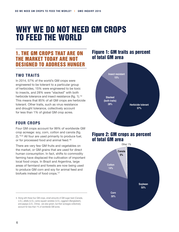# WHY WE DO NOT NEED GM CROPS TO FEED THE WORLD

## 1. The GM crops that are on the market today are not designed to address hunger

#### **Two traits**

In 2014, 57% of the world's GM crops were engineered to be tolerant to a particular group of herbicides, 15% were engineered to be toxic to insects, and 28% were "stacked" with both herbicide tolerance and insect resistance (fig. 1).<sup>14</sup> This means that 85% of all GM crops are herbicide tolerant. Other traits, such as virus resistance and drought tolerance, collectively account for less than 1% of global GM crop acres.

#### **Four crops**

Four GM crops account for 99% of worldwide GM crop acreage: soy, corn, cotton and canola (fig. 2).15,b All four are used primarily to produce fuel, or for processed food and animal feed.16

There are very few GM fruits and vegetables on the market, or GM grains that are used for direct human consumption. In fact, shifts to commodity farming have displaced the cultivation of important local food crops. In Brazil and Argentina, large areas of farmland and forests are now being used to produce GM corn and soy for animal feed and biofuels instead of food crops.17

b Along with these four GM crops, small amounts of GM sugar beet (Canada, U.S.), alfalfa (U.S.), some squash varieties (U.S.), eggplant (Bangladesh), and papaya (U.S., China), are also grown, but their acreages collectively account for less than 1% of worldwide GM acres.

#### Figure 1: GM traits as percent of total GM area



#### Figure 2: GM crops as percent of total GM area

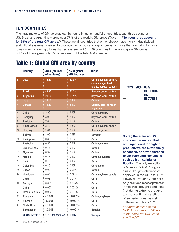#### **Ten countries**

The large majority of GM acreage can be found in just a handful of countries. Just three countries – US, Brazil and Argentina – grow over 77% of the world's GM crops (Table 1).18 **Ten countries account for 98% of the total GM acres**.<sup>19</sup> These are all countries that either already have highly industrialized agricultural systems, oriented to produce cash crops and export crops, or those that are trying to move towards an increasingly industrialized system. In 2014, 28 countries in the world grew GM crops, but 19 of these grew only 1% or less each of the total GM acreage.

## Table 1: Global GM area by country

|                  | <b>Country</b>        | <b>Area (millions</b><br>of hectares) | % of global<br><b>GM hectares</b> | <b>Crops</b>                                                             |                                                                                                                       |  |
|------------------|-----------------------|---------------------------------------|-----------------------------------|--------------------------------------------------------------------------|-----------------------------------------------------------------------------------------------------------------------|--|
|                  | <b>USA</b>            | 73.10                                 | 40.3%                             | Corn, soybean, cotton,<br>canola, sugar beet,<br>alfalfa, papaya, squash | 98%<br>77%<br>90%                                                                                                     |  |
| $\overline{2}$   | <b>Brazil</b>         | 42.20                                 | 23.3%                             | Soybean, corn, cotton                                                    | <b>OF GLOBAL</b>                                                                                                      |  |
| 3                | <b>Argentina</b>      | 24.30                                 | 13.4%                             | Soybean, corn, cotton                                                    | <b>GM</b>                                                                                                             |  |
| $\overline{4}$   | India                 | 11.60                                 | 6.4%                              | <b>Cotton</b>                                                            | <b>HECTARES</b>                                                                                                       |  |
| $\overline{5}$   | Canada                | 11.60                                 | 6.4%                              | Canola, corn, soybean,<br>sugarbeet                                      |                                                                                                                       |  |
| $6\phantom{.}6$  | China                 | 3.90                                  | 2.1%                              | Cotton, papaya                                                           |                                                                                                                       |  |
| $\sqrt{ }$       | <b>Paraguay</b>       | 3.90                                  | 2.1%                              | Soybean, corn, cotton                                                    |                                                                                                                       |  |
| $\, 8$           | <b>Pakistan</b>       | 2.85                                  | 1.6%                              | <b>Cotton</b>                                                            |                                                                                                                       |  |
| $\boldsymbol{9}$ | <b>South Africa</b>   | 2.70                                  | 1.5%                              | Corn, soybean, cotton                                                    |                                                                                                                       |  |
| 10               | <b>Uruguay</b>        | 1.64                                  | 0.9%                              | Soybean, corn                                                            |                                                                                                                       |  |
| 11               | <b>Bolivia</b>        | 1.00                                  | 0.6%                              | Soybean                                                                  | So far, there are no GM                                                                                               |  |
| 12               | <b>Philippines</b>    | 0.83                                  | 0.5%                              | Corn                                                                     | crops on the market that                                                                                              |  |
| 13               | <b>Australia</b>      | 0.54                                  | 0.3%                              | Cotton, canola                                                           | are engineered for higher                                                                                             |  |
| 14               | <b>Burkina Faso</b>   | 0.45                                  | 0.3%                              | Cotton                                                                   | productivity, are nutritionally                                                                                       |  |
| 15               | <b>Myanmar</b>        | 0.32                                  | 0.2%                              | Cotton                                                                   | enhanced, or have tolerance                                                                                           |  |
| 16               | <b>Mexico</b>         | 0.17                                  | 0.1%                              | Cotton, soybean                                                          | to environmental conditions                                                                                           |  |
| 17               | Spain                 | 0.13                                  | 0.1%                              | Corn                                                                     | such as high salinity or<br>flooding. The only exception<br>is Monsanto's GM Drought-<br>Guard drought-tolerant corn, |  |
| 18               | Colombia              | 0.10                                  | 0.1%                              | Cotton, corn                                                             |                                                                                                                       |  |
| 19               | Sudan                 | 0.09                                  | 0.05%                             | Cotton                                                                   |                                                                                                                       |  |
| 20               | <b>Honduras</b>       | 0.03                                  | 0.02%                             | Corn, soybean, canola                                                    | approved in the US in 2011. <sup>21</sup>                                                                             |  |
| 21               | <b>Chile</b>          | 0.01                                  | 0.01%                             | Corn                                                                     | However, DroughtGuard corn                                                                                            |  |
| 22               | Portugal              | 0.009                                 | 0.005%                            | Corn                                                                     | only provides modest protection                                                                                       |  |
| 23               | Cuba                  | 0.003                                 | 0.002%                            | Corn                                                                     | in moderate drought conditions                                                                                        |  |
| 24               | <b>Czech Republic</b> | 0.002                                 | 0.001%                            | Corn                                                                     | (not during extreme drought),                                                                                         |  |
| 25               | Romania               | < 0.001                               | < 0.001%                          | Cotton, soybean                                                          | and conventional varieties<br>often perform just as well                                                              |  |
| 26               | Slovakia              | < 0.001                               | < 0.001%                          | Corn                                                                     | in these conditions. <sup>22,23</sup>                                                                                 |  |
| 27               | <b>Costa Rica</b>     | < 0.001                               | < 0.001%                          | Corn                                                                     | For more details see the                                                                                              |  |
| 28               | <b>Bangladesh</b>     | < 0.001                               | < 0.001%                          | Eggplant                                                                 | <b>GMO Inquiry report "Where</b><br>in the World are GM Crops<br>and Foods?"                                          |  |
|                  | <b>28 COUNTRIES</b>   | 181.48m hectares                      | 100%                              | 9 crops                                                                  |                                                                                                                       |  |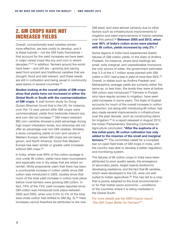## 2. GM crops have not increased yields

Overall, conventionally bred varieties remain more effective, are less costly to develop, and it is these hybrids – not the GM traits themselves – that account for the yield increases we have seen in major cereal crops like soy and corn in recent decades.24,25 In addition, farmers around the world have been – and still are – growing and saving seed from ancient and traditional varieties that are drought, flood and salt tolerant, and these seeds are still in cultivation and being saved in community seed banks in several countries.<sup>26</sup>

#### **Studies looking at the overall yields of GM crops show that yields have not increased in either the Global North or South with the commercialization**

**of GM crops.** A well-known study by Doug Gurian-Sherman found that in the US, for instance, over the 13-year period after GM crops were commercialized, yields from herbicide-tolerant soy and corn did not increase.27 GM insect-resistant (Bt) corn varieties showed a yield advantage during high insect infestation levels, but otherwise did not offer an advantage over non-GM varieties. Similarly, a study comparing yields of corn and canola in Western Europe, where GM crops are not being grown, and North America, found that Western Europe has seen similar or greater yield increases without GM crops.28

In India, where over 90% of the cotton acreage is now under Bt cotton, yields have been inconsistent, and especially low in dry areas that are reliant on rainfall. While proponents claim that there has been a countrywide increase in cotton yields since GM cotton was introduced in 2002, studies show that much of the total yield increase in cotton took place before most farmers were growing GM cotton. In fact, 70% of the 73% yield increase reported since GM cotton was introduced took place between 2002 and 2005, when only 0.5% to 5% of the total area under cotton had shifted to GM (fig. 3).<sup>29</sup> Yield increases cannot therefore be attributed to the new

GM seed, and were almost certainly due to other factors such as infrastructural improvements to irrigation and seed improvements in hybrid varieties over this period.30 **Between 2005 and 2012, when over 90% of India's cotton acres were planted with Bt cotton, yields increased by only 2%**. 31

Some regions in India have experienced drastic failures of GM cotton yields. In the state of Andhra Pradesh, for instance, where land holdings are small, soils marginal, and unpredictable monsoons the only source of water, the government estimates that 3.3 of the 4.7 million acres planted with GM cotton in 2011 had a loss in yield of more than 50%.32 Overall, in states such as Andhra Pradesh and Maharashtra, average yields are currently either the same as, or less than, the levels they were at before GM cotton was introduced.33 Farmers in Punjab, who have regular access to irrigation, have seen yield increases in some years. The state of Gujarat accounts for much of the overall increase in cotton production, but along with introducing Bt cotton, has also made several improvements in infrastructure over the past decade, such as constructing dams for irrigation.34 In a report released in August 2012, the Indian Parliamentary Standing Committee on Agriculture concluded, **"After the euphoria of a few initial years, Bt cotton cultivation has only added to the miseries of the small and marginal farmers."**35 The committee called for a complete ban on open field trials of GM crops in India, until the country was able to develop a better regulatory and monitoring system.

The failures of Bt cotton crops in India have been attributed to poor quality seeds, the emergence of secondary pests, target insects (bollworm) developing resistance, and the fact that Bt varieties, which were developed in the US, were not well suited to Indian agriculture.<sup>36</sup> This has led to a crop that is poorly adapted to the local environmental – or for that matter socio-economic – conditions of the countries where it is being marketed in the Global South.

*For more details see the GMO Inquiry report "Are GM Crops Better for Farmers?"*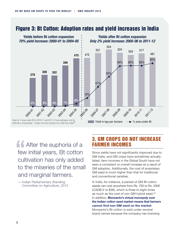## FIgure 3: Bt Cotton: Adoption rates and yield increases in India



**After the euphoria of a** few initial years, Bt cotton cultivation has only added to the miseries of the small and marginal farmers.

— Indian Parliamentary Standing Committee on Agriculture, 2012

## 3. GM crops do not increase farmer incomes

Since yields have not significantly improved due to GM traits, and GM crops have sometimes actually failed, farm incomes in the Global South have not seen a consistent or overall increase as a result of GM adoption. Additionally, the cost of proprietary GM seed is much higher than that for traditional and conventional varieties.

In India, for instance, a packet of GM Bt cotton seeds can cost anywhere from Rs. 700 to Rs. 2000 (CAD\$12 to \$36), which is three to eight times as much as the cost of non-GM hybrid seed.37 In addition, **Monsanto's virtual monopoly over the Indian cotton seed market means that farmers cannot find non-GM seed on the market**. Monsanto's Bt cotton is sold under several

brand names because the company has licensing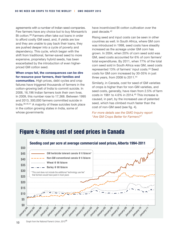agreements with a number of Indian seed companies. Few farmers have any choice but to buy Monsanto's Bt cotton.38 Farmers often take out loans in order to afford costly GM seed, and, if yields are low and they are unable to pay back their loans, they are pushed deeper into a cycle of poverty and dependency. This cycle, which began with the shift from traditional, farmer-saved seed to more expensive, proprietary hybrid seeds, has been exacerbated by the introduction of even higherpriced GM cotton seed.

**When crops fail, the consequences can be dire for resource-poor farmers, their families and communities.** High prices, debt cycles and crop failures have triggered thousands of farmers in the cotton-growing belt of India to commit suicide. In 2008, 16,196 Indian farmers took their own lives.

In 2009, this number rose to 17,368. Between 1995 and 2013, 300,000 farmers committed suicide in India.39,40,41 A majority of these suicides took place in the cotton growing states in India, some of whose governments

have incentivized Bt cotton cultivation over the past decade.42

Rising seed and input costs can be seen in other countries as well. In South Africa, where GM corn was introduced in 1998, seed costs have steadily increased as the acreage under GM corn has grown. In 2004, when 20% of corn seed sold was GM, seed costs accounted for 6% of corn farmers' total expenditures. By 2011, when 77% of the total corn seed sold in South Africa was GM, seed costs represented 13% of farmers' input costs.43 Seed costs for GM corn increased by 30-35% in just three years, from 2008 to 2011.44

Similarly, in Canada, cost for seed of GM varieties of crops is higher than for non-GM varieties, and seed costs, generally, have risen from 2.5% of farm costs in 1981 to 4.6% in 2014.45 This increase is caused, in part, by the increased use of patented seed, which has climbed much faster than the cost of non-GM seed (see fig. 4).

*For more details see the GMO Inquiry report "Are GM Crops Better for Farmers?"*



## Figure 4: Rising cost of seed prices in Canada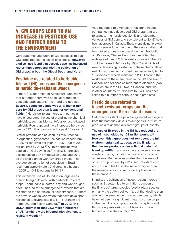## 4. GM crops lead to an increase in pesticide use and further harm to the environment

Corporate manufacturers of GM seeds claim that GM crops reduce the use of pesticides.<sup>c</sup> However, **studies have found that pesticide use has increased rather than decreased with the cultivation of GM crops, in both the Global South and North**.

#### **Pesticide use related to herbicidetolerant (Ht) crops and the emergence of herbicide-resistant weeds**

In the US, Department of Agriculture data shows that although there was an initial reduction in pesticide applications, this trend did not last. **By 2011, pesticide usage was 24% higher per acre for GM crops than it was for conventional fields**. 47 Herbicide-tolerant crops, in particular, have encouraged the use of brand-name chemical herbicides, such as Monsanto's glyphosate-based herbicide Roundup, and have increased herbicide use by 527 million pounds in the past 16 years.<sup>48</sup>

Similar patterns can be seen in Latin America. In Argentina, glyphosate use has increased from 20-26 million litres per year in 1996-1999 to 200 million litres by 2013.49 All this herbicide was applied on GM soy fields.50 In Brazil, herbicide use increased by 43% between 2006 and 2012 as the area planted with GM crops tripled. The average consumption of pesticides in Brazil rose from approximately 7 kilograms a hectare in 2005 to 10.1 kilograms in 2011.51

This extensive use of Roundup on large areas of land being cultivated with herbicide-tolerant crops – corn, canola, cotton, soy and white sugar beet – has led to the emergence of weeds that are resistant to the herbicide, or "superweeds."52 There are now 32 weeds worldwide that have developed resistance to glyphosate (fig. 5); 15 of them are in the US, and five in Canada.53 **In 2013, the USDA estimated that 28.3 million hectares of US farmland were infested with glyphosateresistant weeds**. 54

As a response to glyphosate-resistant weeds, companies have developed GM crops that are tolerant to the herbicides 2,4-D and dicamba. Varieties of GM corn and soy tolerant to 2,4-D have been approved in Canada. These crops do not provide a long-term solution: In one of the only studies that has looked at pesticide use since the introduction of GM crops, Charles Benbrook predicted that widespread use of 2,4-D-resistant crops in the US could increase 2,4-D use by 50%,55 and will lead to weeds developing resistance to these chemicals as well. In fact, past and current use has already led to 16 species of weeds resistant to 2,4-D around the world (four of these are found in the US and two in Canada) and six species resistant to dicamba, (two of which are in the US, two in Canada, and two in other countries). $56$  Exposure to 2,4-D has been linked to a number of serious health problems.

#### **Pesticide use related to insect-resistant crops and the emergence of Bt-resistant insects**

GM insect-resistant crops are engineered with a gene from the bacteria *Bacillus thurengiensis*, or "Bt", to produce a toxin that kills some groups of insects.

**The use of Bt crops in the US has reduced the use of insecticides by 123 million pounds.**<sup>57</sup> **However, this figure does not represent the full environmental reality, because the Bt plants themselves produce an insecticidal toxin that is not quantified**, and may have adverse environmental impacts, including on soil and non-target organisms. Benbrook estimates that the amount of Bt toxin produced by GM insect-resistant corn and cotton in the US is the same or higher than the average rates of insecticide application for those crops.<sup>58</sup>

In India, the cultivation of insect-resistant crops such as Bt cotton led to an initial reduction of the Bt crops' target species (*Lepidoptera* species, primarily the cotton bollworm), but that decline then allowed the emergence of secondary pests, which have not been a significant threat to cotton crops in the past. For example, mealybugs, aphids and thrips now pose serious problems for cotton farmers across the country.59,60

c The term pesticide includes herbicides, fungicides and insecticides.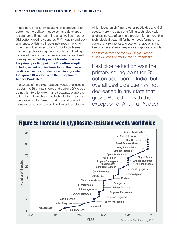In addition, after a few seasons of exposure to Bt cotton, some bollworm species have developed resistance to Bt cotton in India, as well as in other GM cotton growing countries.<sup>61,62</sup> Industry and government scientists are increasingly recommending other pesticides as solutions for both problems, pushing up already-high input costs, and leading to increased risks of harmful environmental and health consequences. **While pesticide reduction was the primary selling point for Bt cotton adoption in India, recent studies have found that overall pesticide use has not decreased in any state that grows Bt cotton, with the exception of Andhra Pradesh**. 63

The spread of herbicide-resistant weeds and insects resistant to Bt plants shows that current GM crops do not fit into a long-term and sustainable approach to farming but are short-lived technologies that create new problems for farmers and the environment. Industry responses to weed and insect resistance,

which focus on shifting to other pesticides and GM seeds, merely replace one failing technology with another. Instead of solving a problem for farmers, this technological treadmill further embeds farmers in a cycle of environmental and economic problems and keeps farmers reliant on expensive corporate products.

*For more details see the GMO Inquiry report "Are GM Crops Better for the Environment?"*

Pesticide reduction was the primary selling point for Bt cotton adoption in India, but overall pesticide use has not decreased in any state that grows Bt cotton, with the exception of Andhra Pradesh

## Figure 5: Increase in glyphosate-resistant weeds worldwide

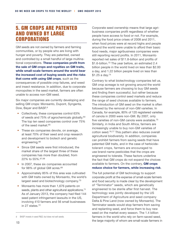#### 5. GM crops are patented and owned by large **CORPORATIONS**

GM seeds are not owned by farmers and farming communities, or by people who are living with hunger and poverty. They are patented, owned and controlled by a small handful of large multinational corporations. **These companies profit from the sale of GM crops and royalties on GM traits, while small-scale farmers around the world bear the increased cost of buying seeds and the risks that come with using GM crops**, such as the consequences of possible crop failures, and weed and insect resistance. In addition, due to corporate monopolies in the seed market, farmers are often unable to access non-GM seed.

Six major companies are currently developing and selling GM crops: Monsanto, Dupont, Syngenta, Dow, Bayer and BASF.<sup>d</sup>

- Collectively, these companies control 63% of seeds and 75% of agrochemicals globally.64 The top ten seed companies control over 75% of the seed market.<sup>65</sup>
- These six companies devote, on average, at least 70% of their seed and crop research and development to biotech and genetic engineering.<sup>66</sup>
- Since GM seeds were first introduced, the market share of the largest three of these companies has more than doubled, from 22% to 55%.67,68
- In 2007, these six companies accounted for 98% of global GM acres.<sup>69</sup>
- Approximately 85% of this area was cultivated with GM traits owned by Monsanto, the world's largest seed and biotechnology company.<sup>70</sup>
- Monsanto has more than 1,676 patents on seeds, plants and other agricultural applications.<sup>71</sup> As of January 2013, the company had filed 144 seed patent infringement lawsuits in the US, involving 410 farmers and 56 small businesses in 27 states.72

Corporate seed ownership means that large agribusiness companies profit regardless of whether people have access to food or not. For example, during the food price crises of 2008 and 2011, when food prices were at record highs and people around the world were unable to afford their basic food needs, major agribusiness companies were still reporting record profits. In 2011, Monsanto reported net sales of \$11.8-billion and profits of \$1.6-billion.<sup>73</sup> The year before, an estimated 2.4 billion people in the world lived on less than \$2.00 a day, and 1.22 billion people lived on less than \$1.25 a day.74

Contrary to what biotechnology companies tell us, GM crop acreage is not growing around the world because farmers are choosing to buy GM seeds and finding them successful, but rather because these companies control seed markets and reduce the range of seed choices available to farmers. The introduction of GM seed on the market is often followed by the removal of non-GM varieties. In Canada, for example, 80% of 120 registered varieties of canola in 2000 were non-GM. By 2007, only five varieties of non-GM canola were available.75 Similarly, in India and South Africa, farmers are increasingly unable to buy non-GM varieties of cotton seed.76,77 This pattern also reduces overall agricultural biodiversity. In addition, companies can prohibit farmers from saving seeds that have patented GM traits, and in the case of herbicidetolerant crops, farmers are encouraged to use brand-name pesticides that the crops are engineered to tolerate. These factors underline the fact that GM crops do not expand the choices available to farmers. On the contrary, **GM crops reduce choice for farmers, while increasing risk**.

The full potential of GM technology to support corporate profit at the expense of small-scale farmers and food security is made clear by the development of "Terminator" seeds, which are genetically engineered to be sterile after first harvest. The technology was jointly developed by the US Department of Agriculture and seed company Delta & Pine Land (now owned by Monsanto). The Terminator seeds would stop farmers from saving and replanting seed, and force them to buy new seed on the market every season. The 1.4 billion farmers in the world who rely on farm-saved seed, the large majority of whom are small-scale farmers in

d BASF invests in seed R&D, but does not sell seeds.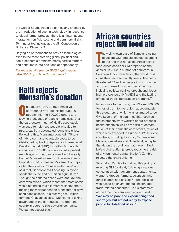the Global South, would be particularly affected by the introduction of such a technology. In response to global farmer protests, there is an international moratorium on field-testing and commercializing Terminator technology at the UN Convention on Biological Diversity.78

Relying on corporations to provide technological fixes to the most pressing global political and socio-economic problems merely forces farmers and consumers into positions of dependency.

*For more details see the GMO Inquiry report "Are GM Crops Better for Farmers?"*

## Haiti rejects Monsanto's donation

O n January 12th, 2010, a massive earthquake hit Haiti, killing 300,000 people, injuring 500,000 others and leaving thousands of people homeless. After the earthquake, much of Haiti's seed stock was used to help feed people who fled to rural areas from devastated towns and cities. Following this, Monsanto donated 475 tons of hybrid corn and vegetable seed, to be distributed by the US Agency for International Development (USAID) to Haitian farmers, but on June 4th, 10,000 farmers joined a protest march against the donation and symbolically burned Monsanto's seeds. Chavannes Jean-Baptist of Haiti's Peasant Movement of Papay called the donation "a new earthquake" and said that, "if people start sending us hybrid seeds that's the end of Haitian agriculture." Though the donated seeds were not GM, the corn was hybrid, which meant that most seeds would not breed true if farmers replanted them, making them dependent on Monsanto for new seed each season. In a message to Haitian farmers, Chavannes said, "Monsanto is taking advantage of the earthquake…to open the country's doors to this powerful company. We cannot accept this."

## African countries reject GM food aid

T **he well-known case of Zambia refusing** to accept GM food aid stands testament to the fact that not all countries facing food crises consider GM crops to be the answer. In 2002, a number of countries in Southern Africa were facing the worst food crisis they had seen in fifty years. The crisis threatened 14 million people in six countries, and was caused by a number of factors including political conflict, drought and floods, high prevalence of HIV/AIDS and the lasting effects of trade liberalization programs.79

In response to the crisis, the US sent 500,000 tonnes of corn to the region, approximately three-quarters of which was estimated to be GM. Several of the countries that received the shipments were worried about potential health effects as well as the risk of contamination of their domestic corn stocks, much of which was exported to Europe.<sup>80</sup> While some countries, including Lesotho, Mozambique, Malawi, Zimbabwe and Swaziland, accepted the aid on the condition that it was milled before distribution (thereby reducing the risk of environmental contamination), Zambia rejected the entire shipment.

Soon after, Zambia formalized this policy of rejecting GM food aid, following a national consultation with government departments, women's groups, farmers, scientists, and other leaders and citizens.81 The decision was based on environmental, health and trade-related concerns.<sup>82</sup> In his statement at the time, the Zambian president said, **"We may be poor and experiencing food shortages, but are not ready to expose people to ill-defined risks."**83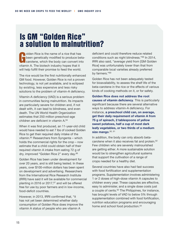## Is GM "Golden Rice" a solution to malnutrition?

G olden Rice is the name of a rice that has been genetically modified to produce betacarotene, which the body can convert into vitamin A. The biotech industry hopes that it will help fulfill their promise to feed the world.

The rice would be the first nutritionally enhanced GM food. However, Golden Rice is not a proven technology, is not yet available, and is eclipsed by existing, less expensive and less risky solutions to the problem of vitamin-A deficiency.

Vitamin-A deficiency (VAD) is a serious problem in communities facing malnutrition. Its impacts are particularly severe for children and, if not dealt with, it can lead to blindness, and even death. The UN World Health Organization estimates that 250 million preschool-age children are deficient in vitamin A.84

When it was first produced, an 11-year-old child would have needed to eat 7 lbs of cooked Golden Rice to get their required daily intake of the vitamin.85 Researchers from Syngenta – which holds the commercial rights for the crop – now estimate that a child could obtain half of their required vitamin A intake from eating 72 g of dry, improved "Golden Rice 2" every day.86

Golden Rice has been under development for over 20 years, and is still being tested. In these years, over \$100-million dollars has been spent on development and advertising. Researchers from the International Rice Research Institute (IRRI) have said it will be available for commercial planting in 2016 or 2017, $87$  and will be offered free for use by poor farmers and in low-income, food-deficit countries.

However, in 2013, IRRI confirmed that, "it has not yet been determined whether daily consumption of Golden Rice does improve the vitamin A status of people who are vitamin A

deficient and could therefore reduce related conditions such as night blindness."88 In 2014, IRRI also said, "average yield from [GM Golden Rice] was unfortunately lower than that from comparable local varieties already preferred by farmers."<sup>89</sup>

Golden Rice has not been adequately tested for bioavailability, to assess the shelf life of the beta-carotene in the rice or the effects of various kinds of cooking methods on it, or for safety.

**Golden Rice does not address the root causes of vitamin deficiency**. This is particularly significant because there are several alternative ways to address vitamin-A deficiency. For instance, **a preschool child can, on average, get their daily requirement of vitamin A from 75 g of spinach, 2 tablespoons of yellow sweet potatoes, half a cup of most dark leafy vegetables, or two thirds of a medium**  size mango. 90, 91

In addition, the body can only absorb betacarotene when it also receives fat and protein.92 Few children who are severely malnourished are getting either. A more sustainable solution would be to strengthen agricultural systems that support the cultivation of a range of crops needed for a healthy diet.

Several countries have also had fast success with food fortification and supplementation programs. Supplementation involves administering 1 or 2 doses of high-dose vitamin A capsules to children every year. These capsules are effective, easy to administer, and a single dose costs just a couple of cents.93 The Philippines, for instance, has brought levels of VAD to below 5% through supplementation combined with food fortification, nutrition education programs and encouraging home and school food production.<sup>94</sup>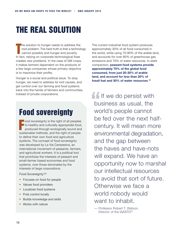# The real solution

T he solution to hunger needs to address the root problem. The hard truth is that a technology cannot possibly end hunger and poverty. In fact, relying on corporate technological fixes creates new problems. In the case of GM crops, it makes farmers dependent on the products of a few large companies whose primary objective is to maximize their profits.

Hunger is a social and political issue. To stop hunger, we need to address its root causes, and get control over our farming and food systems back into the hands of farmers and communities, instead of private corporations.

## Food sovereignty

Food sovereignty is the right of all peoples<br>to healthy and culturally appropriate food,<br>produced through ecologically sound and to healthy and culturally appropriate food, produced through ecologically sound and sustainable methods, and the right of people to define their own food and agriculture systems. The concept of food sovereignty was developed by La Via Campesina, an international movement of peasants, farmers, and agricultural workers. It is a political tool that prioritizes the interests of peasant and small-farmer based economies and food systems, over those dominated by the interests of large corporations.

Food Sovereignty:95

- Focuses on food for people
- Values food providers
- Localizes food systems
- Puts control locally
- Builds knowledge and skills
- Works with nature

The current industrial food system produces approximately 30% of all food consumed in the world, while using 70-80% of the arable land, and accounts for over 80% of greenhouse gas emissions and 70% of water resources. In stark comparison, **peasant food systems provide approximately 70% of the global food consumed, from just 20-30% of arable land, and account for less than 20% of fossil fuel and 30% of water resources**. 96

If we do persist with business as usual, the world's people cannot be fed over the next halfcentury. It will mean more environmental degradation, and the gap between the haves and have-nots will expand. We have an opportunity now to marshal our intellectual resources to avoid that sort of future. Otherwise we face a world nobody would want to inhabit.

— Professor Robert T. Watson, Director of the IAASTD97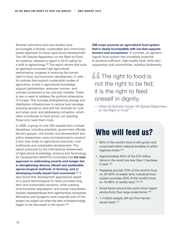Several institutions and new studies have encouraged a diverse, sustainable and communitybased approach to future agricultural development. The UN Special Rapporteur on the Right to Food, for instance, released a report in 2010 calling for a shift to agroecology.98 The report shows that such an approach promises high agricultural performance, progress in ensuring the human right to food, and economic development. It calls for policies that support sustainable modes of agriculture, invest in agricultural knowledge, support partnerships, empower women, and connect producers to fair and just markets. There is also a need to address the political dimensions of hunger. This includes strengthening storage and distribution infrastructure to reduce food spoilage, ensuring access to land and fair incomes for rural and urban poor, and addressing corruption, which often contributes to food stocks not reaching those who need them most.

In 2008, a group of over 400 experts from multiple disciplines, including scientists, government officials, farmers groups, civil society and development and policy researchers, were commissioned to conduct a four-year study on agricultural practices, rural livelihoods and sustainable development. The report produced by the International Assessment of Agricultural Knowledge, Science and Technology for Development (IAASTD) concluded that **the best approach to addressing poverty and hunger lies in strengthening diverse, vibrant and sustainable agroecological methods of farming, and in developing locally based food economies**. 99 It also found that development approaches based on a quick technological fix rarely provided long term and sustainable solutions, while creating environmental degradation and social inequalities. Industry representatives from agrichemical companies Monsanto and Syngenta were originally part of this project but pulled out when the risks of biotechnology began to be discussed in the report.100

**GM crops promote an agricultural food system that is clearly incompatible with one that supports farmers and ecosystems**. In contrast, an agroecological food system has incredible potential to produce sufficient, high-quality food, while also supporting rural communities, building biodiversity

## **The right to food is** not the right to be fed; it is the right to feed oneself in dignity.

— Olivier De Schutter, former UN Special Rapporteur on the Right to Food<sup>101</sup>

# Who will feed us?

- 85% of the world's food is still grown and consumed within national borders or within regional zones.102
- Approximately 85% of the 570 million farms in the world are less than 2 hectares in size.103
- Peasants provide 70% of the world's food on 20-30% of arable land; industrial food system provides 30% of the world's food on 70-80% of arable land.104,105
- Small farms around the world show higher productivity than large-scale farms.106
- 1.4 billion people still eat from farmer saved seed.107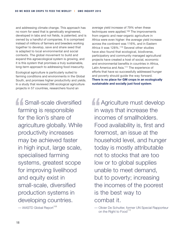and addressing climate change. This approach has no room for seed that is genetically engineered, developed in labs and not fields, is patented, and is owned by a handful of companies. It is comprised instead of millions of farmers and breeders working together to develop, save and share seed that is adapted to local environmental and social contexts. The global movement to build and expand this agroecological system is growing, and it is this system that promises a truly sustainable, long-term approach to addressing food insecurity.

Ecological agriculture is particularly suited to farming conditions and environments in the Global South, and promises higher productivity and yields. In a study that reviewed 286 ecological agriculture projects in 57 countries, researchers found an

**Small-scale diversified** farming is responsible for the lion's share of agriculture globally. While productivity increases may be achieved faster in high input, large scale, specialised farming systems, greatest scope for improving livelihood and equity exist in small-scale, diversified production systems in developing countries.

— IAASTD Global Report<sup>108</sup>

average yield increase of 79% when these techniques were applied.<sup>109</sup> The improvements from organic and near-organic agriculture in Africa were even higher: the average yield increase across the continent was 116%, and in Eastern Africa it was 128%.110 Several other studies have also found that ecological, biodiverse, participatory and community managed agricultural projects have created a host of social, economic and environmental benefits in countries in Africa, Latin America and Asia.111 The experience of efforts that have so successfully addressed hunger and poverty should guide the way forward. **There is no place for GM crops in an ecologically sustainable and socially just food system**.

**Agriculture must develop** in ways that increase the incomes of smallholders. Food availability is, first and foremost, an issue at the household level, and hunger today is mostly attributable not to stocks that are too low or to global supplies unable to meet demand, but to poverty; increasing the incomes of the poorest is the best way to combat it.

<sup>—</sup> Olivier De Schutter, former UN Special Rapporteur on the Right to Food<sup>112</sup>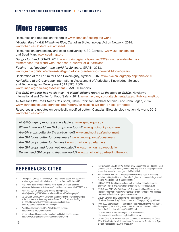# More resources

Resources and updates on this topic: [www.cban.ca/feeding the world](http://www.cban.ca/feeding the world) *"Golden Rice" – GM Vitamin-A Rice*, Canadian Biotechnology Action Network. 2014. [www.cban.ca/GoldenRiceFactsheet](http://www.cban.ca/GoldenRiceFactsheet)

Resources on agroecology and seed biodiversity: USC Canada, [www.usc-canada.org](http://www.usc-canada.org) and Seed Map, [www.seedmap.org](http://www.seedmap.org)

*Hungry for Land*, GRAIN. 2014. [www.grain.org/article/entries/4929-hungry-for-land-small](http://www.grain.org/article/entries/4929-hungry-for-land-small-farmers-feed-the-world-with-less-than-a-quarter-of-all-farmland)[farmers-feed-the-world-with-less-than-a-quarter-of-all-farmland](http://www.grain.org/article/entries/4929-hungry-for-land-small-farmers-feed-the-world-with-less-than-a-quarter-of-all-farmland)

*Fooling – er, "feeding" – the world for 20 years*, GRAIN. 2013. [www.grain.org/article/entries/4720-gmos-fooling-er-feeding-the-world-for-20-years](http://www.grain.org/article/entries/4720-gmos-fooling-er-feeding-the-world-for-20-years)

Declaration of the Forum for Food Sovereignty, Nyéléni. 2007. www.[nyeleni.org/spip.php?article290](http://nyeleni.org/spip.php?article290)

*Agriculture at a Crossroads*, International Assessment of Agriculture Knowledge, Science and Technology for Development (IAASTD). 2008. [www.unep.org/dewa/agassessment](http://www.unep.org/dewa/agassessment) > IAASTD Reports

*The GMO emperor has no clothes – A global citizens report on the state of GMOs*, Navdanya International and Center for Food Safety. 2011. [www.navdanya.org/attachments/Latest\\_Publications9.pdf](http://www.navdanya.org/attachments/Latest_ Publications9.pdf)

*10 Reasons We Don't Need GM Foods*, Claire Robinson, Michael Antoniou and John Fagan, 2014. www[.earthopensource.org/index.php/reports/10-reasons-we-don-t-need-gm-foods](http://earthopensource.org/index.php/reports/ 10-reasons-we-don-t-need-gm-foods)

Resources and updates on genetically modified cotton, Canadian Biotechnology Action Network. 2013. [www.cban.ca/cotton](http://www.cban.ca/cotton)

All GMO Inquiry reports are available at [www.gmoinquiry.ca](http://www.gmoinquiry.ca) *Where in the world are GM crops and foods?* [www.gmoinquiry.ca/where](http://www.gmoinquiry.ca/where) *Are GM crops better for the environment?* [www.gmoinquiry.ca/environment](http://www.gmoinquiry.ca/environment) *Are GM foods better for consumers?* [www.gmoinquiry.ca/consumer](http://www.gmoinquiry.ca/consumers)s *Are GM crops better for farmers?* [www.gmoinquiry.ca/farmers](http://www.gmoinquiry.ca/farmers)  *Are GM crops and foods well regulated?* [www.gmoinquiry.ca/regulation](http://www.gmoinquiry.ca/regulation) *Do we need GM crops to feed the world?* [www.gmoinquiry.ca/](http://www.gmoinquiry.ca/eedingtheworld)feedingtheworld

## **References Cited**

- Leisinger, K. Quoted in Macilwain, C. 1999. Access issues may determine whether agri-biotech will help the world's poor. *Nature* 402: 341–345.
- 2 *The Times*. 2014. World needs GM food, claims Monsanto scientist. <http://www.thetimes.co.uk/tto/business/industries/consumer/article4069203.ece>
- 3 Patel, Raj. 2011. Can the world feed 10 billion people? <http://rajpatel.org/2011/05/04/can-the-world-feed-10-billion-people/>
- 4 De Schutter, Olivier. 2009. Statement at the Interactive Thematic Dialogue of the U.N. General Assembly on the Global Food Crisis and the Right to Food. [http://www2.ohchr.org/english/issues/food/docs/](http://www2.ohchr.org/english/issues/food/docs/ SRRTFstatementpanelRtF6April2009.pdf) [SRRTFstatementpanelRtF6April2009.pdf](http://www2.ohchr.org/english/issues/food/docs/ SRRTFstatementpanelRtF6April2009.pdf)
- 5 World Food Programme. 2014. What Causes Hunger? <http://www.wfp.org/hunger/causes>
- 6 United Nations. Resources for Speakers on Global Issues: Hunger. <http://www.un.org/en/globalissues/briefingpapers/food/>
- 7 Holt-Gimenez, Eric. 2012. We already grow enough food for 10 billion and still can't end hunger. *Huffington Post Blog*. [http://www.huffingtonpost.com/](http://www.huffingtonpost.com/eric-holt-gimenez/world-hunger_b_1463429.html) [eric-holt-gimenez/world-hunger\\_b\\_1463429.html](http://www.huffingtonpost.com/eric-holt-gimenez/world-hunger_b_1463429.html)
- 8 Holt-Gimenez, Eric. 2014. Feeding nine billion: nine steps to the wrong solution. *Huffington Post*. [http://www.huffingtonpost.com/eric-holt-gimenez/](http://www.huffingtonpost.com/eric-holt-gimenez/feeding-nine-billion-five_b_5208388.html) [feeding-nine-billion-five\\_b\\_5208388.html](http://www.huffingtonpost.com/eric-holt-gimenez/feeding-nine-billion-five_b_5208388.html)
- 9 UN FAO. 2013. Food Wastage Footprint. Impact on natural resources. Summary Report.<http://www.fao.org/docrep/018/i3347e/i3347e.pdf>
- 10 ETC Group. 2013. Who Will Feed Us? The Industrial Food Chain or the Peasant Food Web? [http://www.etcgroup.org/content/poster-who-will-feed](http://www.etcgroup.org/content/poster-who-will-feed-us-industrial-food-chain-or-peasant-food-webs)[us-industrial-food-chain-or-peasant-food-webs](http://www.etcgroup.org/content/poster-who-will-feed-us-industrial-food-chain-or-peasant-food-webs)
- 11 Glover, Dominic. 2010. Exploring the Resilience of Bt Cotton 's "Pro-Poor Success Story". *Development and Change*, 41(6), pp.955-981
- 12 FAO, IFAD and WFP. 2014. The State of Food Insecurity in the World 2014. Strengthening the enabling environment for food security and nutrition. Rome, FAO. http://www.fao.org/3/a-i4030e.pdf
- 13 Oxfam Canada. There is enough food to feed the world. <http://www.oxfam.ca/there-enough-food-feed-world>
- 14 James, Clive. 2015. Global Status of Commercialized Biotech/GM Crops: 2014. ISAAA brief No. 49. International Service for the Acquisition of Agribiotech Applications (ISAAA): Ithaca, NY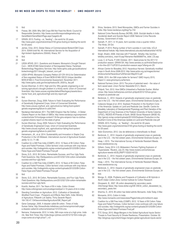- 15 Ibid
- 16 Freese, Bill. 2009. Why GM Crops Will Not Feed the World. Council for Responsible Genetics. [http://www.councilforresponsiblegenetics.org/](http://www.councilforresponsiblegenetics.org/ GeneWatch/GeneWatchPage.aspx?pageId=46) [GeneWatch/GeneWatchPage.aspx?pageId=46](http://www.councilforresponsiblegenetics.org/ GeneWatch/GeneWatchPage.aspx?pageId=46)
- 17 GRAIN. 2013. Fooling er, "feeding" the world for 20 years. [http://www.grain.org/article/entries/4720-gmos-fooling-er-feeding-the-world](http://www.grain.org/article/entries/4720-gmos-fooling-er-feeding-the-world-for-20-years)[for-20-years](http://www.grain.org/article/entries/4720-gmos-fooling-er-feeding-the-world-for-20-years)
- 18 James, Clive. 2015. Global Status of Commercialized Biotech/GM Crops: 2014. ISAAA brief No. 49. International Service for the Acquisition of Agri-biotech Applications (ISAAA): Ithaca, NY
- 19 Ibid.
- 20 Ibid
- 21 USDA APHIS. 2011. Questions and Answers: Monsanto's Drought Tolerant Corn – MON 87460 Determination of Nonregulated Status. Factsheet. Biotechnology Regulatory Services. [http://www.aphis.usda.gov/publications/](http://www.aphis.usda.gov/publications/biotechnology/2011/drought_tolerant_corn.pdf) [biotechnology/2011/drought\\_tolerant\\_corn.pdf](http://www.aphis.usda.gov/publications/biotechnology/2011/drought_tolerant_corn.pdf)
- 22 USDA APHIS. Monsanto Company Petition (07-CR-191U) for Determination of Non-regulated Status of Event MON 87460 OECD Unique Identifier: MON 87460-4. Final Environmental Assessment. November 2011. [http://www.aphis.usda.gov/brs/aphisdocs/09\\_05501p\\_fea.pdf](http://www.aphis.usda.gov/brs/aphisdocs/09_05501p_fea.pdf)
- 23 Gurian-Sherman, D. 2012. High and Dry: Why genetic engineering is not solving agriculture's drought problem in a thirsty world. Union of Concerned Scientists. http://www.ucsusa.org/sites/default/files/legacy/assets/documents/ food\_and\_agriculture/high-and-dry-report.pdf
- 24
- 25 Gurian-Sherman, Doug. 2009. Failure to Yield: Evaluating the Performance of Genetically Engineered Crops. Union of Concerned Scientists. [http://www.ucsusa.org/food\\_and\\_agriculture/our-failing-food-system/](http://www.ucsusa.org/food_and_agriculture/our-failing-food-system/genetic-engineering/failure-to-yield.html) [genetic-engineering/failure-to-yield.html](http://www.ucsusa.org/food_and_agriculture/our-failing-food-system/genetic-engineering/failure-to-yield.html)
- 26 Navdanya International. 2011. The GMO Emperor Has No Clothes A Global Citizens Report on the State of GMOs. [http://www.navdanya.org/component/](http://www.navdanya.org/component/content/article/19-frontpage-content/118-the-gmo-emperor-has-no-clothes-a-global-citizens-report-on-the-state-of-gmos) [content/article/19-frontpage-content/118-the-gmo-emperor-has-no-clothes](http://www.navdanya.org/component/content/article/19-frontpage-content/118-the-gmo-emperor-has-no-clothes-a-global-citizens-report-on-the-state-of-gmos)[a-global-citizens-report-on-the-state-of-gmos](http://www.navdanya.org/component/content/article/19-frontpage-content/118-the-gmo-emperor-has-no-clothes-a-global-citizens-report-on-the-state-of-gmos)
- 27 Gurian-Sherman, Doug. 2009. Failure to Yield: Evaluating the Performance of Genetically Engineered Crops. Union of Concerned Scientists. [http://www.ucsusa.org/food\\_and\\_agriculture/our-failing-food-system/](http://www.ucsusa.org/food_and_agriculture/our-failing-food-system/genetic-engineering/failure-to-yield.html) [genetic-engineering/failure-to-yield.html](http://www.ucsusa.org/food_and_agriculture/our-failing-food-system/genetic-engineering/failure-to-yield.html)
- 28 Heinemann, JA., et al. 2014. Sustainability and Innovation in Staple Crop Production in the US Midwest. *International Journal of Agricultural Sustainability* 12 (1): 71–88.
- 29 Coalition for a GM Free India (CGMFI). 2012. 10 Years of Bt Cotton: False Hype and Failed Promises, Cotton farmers' crisis continues with crop failure and suicides. [http://indiagminfo.org/wp-content/uploads/2012/03/Bt-Cotton-](http://indiagminfo.org/wp-content/uploads/2012/03/Bt-Cotton-False-Hype-and-Failed-Promises-Final.pdf)[False-Hype-and-Failed-Promises-Final.pdf](http://indiagminfo.org/wp-content/uploads/2012/03/Bt-Cotton-False-Hype-and-Failed-Promises-Final.pdf)
- 30 Stone, G.D., 2012. Bt Cotton, Remarkable Success, and Four Ugly Facts. Field Questions. [http://fieldquestions.com/2012/02/12/bt-cotton-remarkable](http://fieldquestions.com/2012/02/12/bt-cotton-remarkable-success-and-four-ugly-facts)[success-and-four-ugly-facts](http://fieldquestions.com/2012/02/12/bt-cotton-remarkable-success-and-four-ugly-facts)
- 31 Coalition for a GM Free India (CGMFI), 2012. 10 Years of Bt Cotton: False Hype and Failed Promises, Cotton farmers' crisis continues with crop failure and suicides. [http://indiagminfo.org/wp-content/uploads/2012/03/Bt-Cotton-](http://indiagminfo.org/wp-content/uploads/2012/03/Bt-Cotton-False-Hype-and-Failed-Promises-Final.pdf)[False-Hype-and-Failed-Promises-Final.pdf](http://indiagminfo.org/wp-content/uploads/2012/03/Bt-Cotton-False-Hype-and-Failed-Promises-Final.pdf)
- 32 Ibid
- 33 Stone, G.D., 2012. Bt Cotton, Remarkable Success, and Four Ugly Facts. *Field Questions*. [http://fieldquestions.com/2012/02/12/bt-cotton-remarkable](http://fieldquestions.com/2012/02/12/bt-cotton-remarkable-success-and-four-ugly-facts)[success-and-four-ugly-facts](http://fieldquestions.com/2012/02/12/bt-cotton-remarkable-success-and-four-ugly-facts)
- 34 Kranthi, Keshav. 2011. Ten Years of Bt in India. *Cotton Grower*. <http://www.cottongrower.com/uncategorized/part-ii-10-years-of-bt-in-india/>
- 35 Standing Committee on Agriculture. 2012. *Cultivation of Genetically Modified Food Crops - Prospects and Effects*. New Delhi, India: Ministry of Agriculture. Fifteenth Lok Sabha. Thirty Seventh Report. [164.100.47.134/lsscommittee/Agriculture/GM\\_Report.pdf](164.100.47.134/lsscommittee/Agriculture/GM_Report.pdf)
- 36 Gene Campaign, 2005. A disaster called Bt cotton. *Times of India*. Suman Sahai. [http://timesofindia.indiatimes.com/home/opinion/edit-page/](http://timesofindia.indiatimes.com/home/opinion/edit-page/ a-disaster-called-bt-cotton/articleshow/1313723.cms) [a-disaster-called-bt-cotton/articleshow/1313723.cms](http://timesofindia.indiatimes.com/home/opinion/edit-page/ a-disaster-called-bt-cotton/articleshow/1313723.cms)
- 37 Nemana, Vivekananda. 2012. In India, GM crops come at a high price. *India Ink, New York Times*. [http://india.blogs.nytimes.com/2012/10/16/in-india-gm](http://india.blogs.nytimes.com/2012/10/16/in-india-gm-crops-come-at-a-high-price/?_r=0)[crops-come-at-a-high-price/?\\_r=0](http://india.blogs.nytimes.com/2012/10/16/in-india-gm-crops-come-at-a-high-price/?_r=0)
- 38 Shiva, Vandana. 2013. Seed Monopolies, GMOs and Farmer Suicides in India. http://www.navdanya.org/blog/?p=744
- 39 National Crime Records Bureau (NCRB), 2009. *Suicidal deaths in India. Accidental death and Suicide Report 2008*. National Crime Records Bureau, Government of India.
- 40 Sainath, P., 2011. In 16 years, farm suicides cross a quarter million. *The Hindu*. 29 Oct.
- Sainath, P. 2014. Rising number of farm suicides in rural India. UCLA International Insitute. http://www.international.ucla.edu/institute/article/145702
- 42 Singh, Shalini. 2006. Interview with P Sainath. *Tehelka*. [http://archive.](http://archive.tehelka.com/story_main19.asp?filename=Ne090906The_relief_CS.asp) [tehelka.com/story\\_main19.asp?filename=Ne090906The\\_relief\\_CS.asp](http://archive.tehelka.com/story_main19.asp?filename=Ne090906The_relief_CS.asp)
- 43 Louw, C. & Fourie, P. 24th October, 2011. Seed prices for the 2011/12 production season. GRAIN SA. [http://www.senwes.co.za/Article/Seed+price](http://www.senwes.co.za/Article/Seed+prices+for+the+2011%2F2012+production+season.aspx?sflang=en-ZA) [s+for+the+2011%2F2012+production+season.aspx?sflang=en-ZA](http://www.senwes.co.za/Article/Seed+prices+for+the+2011%2F2012+production+season.aspx?sflang=en-ZA)
- 44 African Centre for Biosafety. 2012. Hazardous Harvest. Genetically modified crops in South Arica 2008-2012. [http://www.acbio.org.za/images/stories/](http://www.acbio.org.za/images/stories/dmdocuments/Hazardous%20Harvest-May2012.pdf) [dmdocuments/Hazardous%20Harvest-May2012.pdf](http://www.acbio.org.za/images/stories/dmdocuments/Hazardous%20Harvest-May2012.pdf)
- 45 CBAN, 2015. Are GM crops better for farmers? GMO Inquiry 2015, Report 4. www.gmoinquiry.ca/farmers
- 46 National Farmers Union. 2013. The price of patented seed the value of farm saved seed. *Union Farmer Newsletter* 61(1). March.
- 47 Philpott, Tom. 2012. How GMOs Unleashed a Pesticide Gusher. *Mother Jones*. [http://www.motherjones.com/tom-philpott/2012/10/how-gmos](http://www.motherjones.com/tom-philpott/2012/10/how-gmos-ramped-us-pesticide-use)[ramped-us-pesticide-use](http://www.motherjones.com/tom-philpott/2012/10/how-gmos-ramped-us-pesticide-use)
- 48 Benbrook, C., 2012. Impacts of genetically engineered crops on pesticide use in the U.S. – the first sixteen years. *Environmental Sciences Europe*, 24.
- 49 Catacora-Vargas et al. 2012. Soybean Production in the Southern Cone of the Americas: Update on Land and Pesticide Use. GenØk- Centre for Biosafety, Laboratory of Developmental Physiology and Plant Genetics of the Department of Crop Sciences of the Federal University of Santa Catarina (UFSC), REDES-AT/Friends of Earth, BASE-Social Research (BASE-IS). http://genok.no/wp-content/uploads/2013/03/Soybean-Production-in-the-Southern-Cone-of-the-Americas-Update-on-Land-and-Pesticide-Use.pdf
- 50 GRAIN. 2013. Fooling er, "feeding" the world for 20 years. [http://www.grain.org/article/entries/4720-gmos-fooling-er-feeding-the-world](http://www.grain.org/article/entries/4720-gmos-fooling-er-feeding-the-world-for-20-years)[for-20-years](http://www.grain.org/article/entries/4720-gmos-fooling-er-feeding-the-world-for-20-years)
- 51 *Valor Economico*, 2012. Uso de defensivos e intensificado no Brasil.
- 52 Benbrook, C., 2012. Impacts of genetically engineered crops on pesticide use in the U.S. – the first sixteen years. *Environmental Sciences Europe*, 24.
- 53 Heap, I. 2015. The International Survey of Herbicide Resistant Weeds. www.weedscience.org
- 54 Gilliam, Carey. 2014. U.S. Midwestern Farmers Fighting Explosion of 'Superweeds.' *Reuters*, July 23. http://www.reuters.com/article/usaagriculture-weeds-idUSL2N0PY1G520140723
- 55 Benbrook, C., 2012. Impacts of genetically engineered crops on pesticide use in the U.S. – the first sixteen years. *Environmental Sciences Europe*, 24.
- 56 Heap, I. 2015. The International Survey of Herbicide Resistant Weeds. www.weedscience.org
- 57 Benbrook, C., 2012. Impacts of genetically engineered crops on pesticide use in the U.S. – the first sixteen years. *Environmental Sciences Europe*, 24 58 Ibid.
- 
- 59 Monga, D., 2008. *Problems and Prospects of Cultivation of Bt Hybrids in North Indian Cotton Zone*. Central Institute for Cotton Research
- 60 Ghoswami, B., 2007. *Bt cotton devastated by secondary pests. InfoChange News*. [http://www.dottal.org/DIE DIE/bt\\_cotton\\_devastated\\_by\\_](http://www.dottal.org/DIE DIE/bt_cotton_devastated_by_secondary_pests.htm) [secondary\\_pests.htm](http://www.dottal.org/DIE DIE/bt_cotton_devastated_by_secondary_pests.htm)
- 61 Sharma, D., 2010. Bt cotton has failed admits Monsanto. *India Today*. 6 Mar.
- 62 Monsanto, 2010. *Cotton In India*. <http://www.monsanto.com/newsviews/Pages/india-pink-bollworm.aspx>
- 63 Coalition for a GM Free India (CGMFI). 2012. 10 Years of Bt Cotton: False Hype and Failed Promises, Cotton farmers' crisis continues with crop failure and suicides. [http://indiagminfo.org/wp-content/uploads/2012/03/Bt-Cotton-](http://indiagminfo.org/wp-content/uploads/2012/03/Bt-Cotton-False-Hype-and-Failed-Promises-Final.pdf)[False-Hype-and-Failed-Promises-Final.pdf](http://indiagminfo.org/wp-content/uploads/2012/03/Bt-Cotton-False-Hype-and-Failed-Promises-Final.pdf)
- 64 ETC Group. 2015. Mega-Mergers in the Global Agricultural Inputs Sector: Threats to Food Security & Climate Resilience, Presentation. October 30. http://etcgroup.org/content/mega-mergers-global-agricultural-inputs-sector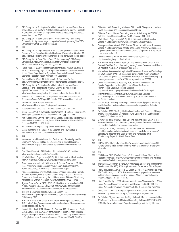- 65 ETC Group. 2013. Putting the Cartel before the Horse...and Farm, Seeds, Soil and Peasants etc: Who Will Control the Agricultural Inputs? The State of Corporate Concentration. [http://www.etcgroup.org/putting\\_the\\_cartel\\_](http://www.etcgroup.org/putting_the_cartel_before_the_horse_2013) [before\\_the\\_horse\\_2013](http://www.etcgroup.org/putting_the_cartel_before_the_horse_2013)
- 66 ETC Group. 2013. Gene Giants Seek "Philanthrogopoly". ETC Group Communiqué. http://www.etcgroup.org/sites/www.etcgroup.org/files/ETC-CommCharityCartel\_March2013\_final.pdf
- $67$
- 68 ETC Group. 2015. Mega-Mergers in the Global Agricultural Inputs Sector: Threats to Food Security & Climate Resilience, Presentation. October 30. http://etcgroup.org/content/mega-mergers-global-agricultural-inputs-sector
- 69 ETC Group. 2013. Gene Giants Seek "Philanthrogopoly". ETC Group Communiqué. http://www.etcgroup.org/sites/www.etcgroup.org/files/ ETCCommCharityCartel\_March2013\_final.pdf
- 70 Fuglie, Kieth, et al. 2011. Research Investments and Market Structure in the Food Processing, Agricultural Input, and Biofuel Industries Worldwide. United States Department of Agriculture, Economic Research Service, Economic Research Report Number 130. December.
- 71 Food and Water Watch. 2013. Monsanto: A Corporate Profile. <http://www.foodandwaterwatch.org/reports/monsanto-a-corporate-profile/>
- 72 ETC Group. 2013. Putting the Cartel before the Horse...and Farm, Seeds, Soil and Peasants etc: Who Will Control the Agricultural Inputs? The State of Corporate Concentration. [http://www.etcgroup.org/putting\\_the\\_cartel\\_before\\_the\\_horse\\_2013](http://www.etcgroup.org/putting_the_cartel_before_the_horse_2013)
- 73 Monsanto. 2011 Annual Report: [http://www.monsanto.com/investors/](http://www.monsanto.com/investors/ Documents/Annual%20Report/Monsanto_2011_AnnualReport.pdf) [Documents/Annual%20Report/Monsanto\\_2011\\_AnnualReport.pdf](http://www.monsanto.com/investors/ Documents/Annual%20Report/Monsanto_2011_AnnualReport.pdf), p.2.
- 74 World Bank. 2014. Poverty: overview. <http://www.worldbank.org/en/topic/poverty/overview>
- 75 National Farmers Union. 2013. Farmers before corporate profit.
- 76 Stone, G.D. 2011. Field versus Farm in Warangal: Bt Cotton, Higher Yields, and Larger Questions. World Development 39(3), pp. 387–398.
- 77 Witt, H. et al. 2006. Can the Poor Help GM Crops? Technology, representation & cotton in the Makhathini flats, South Africa. *Review of African Political Economy* 33(109), pp. 497–513.
- 78 Ban Terminator Campaign.<http://www.banterminator.org/>
- 79 Clapp, Jennifer. 2012. Hunger in the Balance: The New Politics of International Food Aid. Cornell University Press.
- 80 Ibid.
- 81 Mwananyanda Mbikusita Lewanika. Food Aid and Genetically Modified Organisms. National Institute for Scientific and Industrial Research <http://www.dmi.unipg.it/~mamone/sci-dem/nuocontri/mmlewanika.htm>
- 82 Ibid
- 83 Third World Network. GM Food Aid: Ripple in the WSSD corridors. <http://www.twnside.org.sg/title/twr145g.htm>
- 84 UN World Health Organization (WHO). 2013. Micronutrient Deficiencies: Vitamin A Deficiency. <http://www.who.int/nutrition/topics/vad/en/>
- 85 Greenpeace International. 2001. Vitamin A: Natural Sources vs "Golden Rice." [http://www.greenpeace.org/international/Global/international/](http://www.greenpeace.org/international/Global/international/ planet-2/report/2001/1/vitamin-a-natural-sources-vs.pdf)  [planet-2/report/2001/1/vitamin-a-natural-sources-vs.pdf](http://www.greenpeace.org/international/Global/international/ planet-2/report/2001/1/vitamin-a-natural-sources-vs.pdf)
- 86 Paine, Jacqueline A; Shipton, Catherine A; Chaggar, Sunandha; Howells, Rhian M; Kennedy, Mike J; Vernon, Gareth; Wright, Susan Y; Hinchliffe, Edward et al. 2005. Improving the nutritional value of Golden Rice through increased pro-vitamin A content. *Nature Biotechnology* **23** (4): 482–7.
- 87 *Agence France-Presse (AFP)*. 2013. 'Golden Rice to be launched in PH in 2016: researchers. *ABS-CBN news*. [http://www.abs-cbnnews.com/](http://www.abs-cbnnews.com/ business/11/05/13/golden-rice-be-launched-ph-2016-researchers) [business/11/05/13/golden-rice-be-launched-ph-2016-researchers](http://www.abs-cbnnews.com/ business/11/05/13/golden-rice-be-launched-ph-2016-researchers)
- 88 IRRI. 2013. Clarifying recent news about Golden Rice. [http://www.irri.org/index.php%3Foption=com\\_2%26view=item%26id=12483.](http://www.irri.org/index.php%3Foption=com_2%26view=item%26id=12483) 21 February 2013
- 89 IRRI. 2014. What is the status of the Golden Rice Project coordinated by IRRI? [http://irri.org/golden-rice/faqs/what-is-the-status-of-the-golden-rice](http://irri.org/golden-rice/faqs/what-is-the-status-of-the-golden-rice-project-coordinated-by-irri)[project-coordinated-by-irri](http://irri.org/golden-rice/faqs/what-is-the-status-of-the-golden-rice-project-coordinated-by-irri)
- 90 Haskell, M.J., Jamil, K.M., Hassan, F., Peerson, J.M., Hossain, M.I., Fuchs, G.J., & Brown, K.H. 2004. Daily consumption of Indian spinach (Basella alba) or sweet potatoes has a positive effect on total-body vitamin A stores in Bangladeshi men. *American Journal of Clinical Nutrition* 80: 705-714.
- 91 Gilbert C. 1997. Preventing blindness, Child Health Dialogue. Appropriate Health Resources and Technologies Action Group
- 92 Gillespie S and J Mason, Controlling Vitamin A deficiency, ACC/SCN Nutrition Policy Discussion Paper No.14, January 1994, P.36.
- 93 World Health Organization (WHO). 2013. Micronutrient Deficiencies: Vitamin A Deficiency. <http://www.who.int/nutrition/topics/vad/en/>
- 94 Greenpeace International. 2010. Golden Rice's Lack of Lustre: Addressing Vitamin A Deficiency without genetic engineering. [http://www.greenpeace.](http://www.greenpeace.org/international/Global/international/publications/agriculture/2010/Golden rices lack of lustre.pdf) [org/international/Global/international/publications/agriculture/2010/Golden](http://www.greenpeace.org/international/Global/international/publications/agriculture/2010/Golden rices lack of lustre.pdf)  [rices lack of lustre.pdf](http://www.greenpeace.org/international/Global/international/publications/agriculture/2010/Golden rices lack of lustre.pdf)
- 95 Declaration of the Forum for Food Sovereignty, Nyéléni. 2007. <http://nyeleni.org/spip.php?article290>
- 96 ETC Group. 2013. Who Will Feed Us? The Industrial Food Chain or the Peasant Food Web? [http://www.etcgroup.org/content/poster-who-will-feed](http://www.etcgroup.org/content/poster-who-will-feed-us-industrial-food-chain-or-peasant-food-webs)[us-industrial-food-chain-or-peasant-food-webs](http://www.etcgroup.org/content/poster-who-will-feed-us-industrial-food-chain-or-peasant-food-webs)
- 97 International Assessment of Agricultural Knowledge, Science and Technology for Development (IAASTD). 2008. Inter-governmental report aims to set new agenda for global food production. Press release. http://www.unep.org/ dewa/agassessment/docs/IAASTD\_backgroundpaper\_280308.doc
- 98 United Nations General Assembly. 2010. Report submitted by the Special Rapporteur on the right to food, Olivier De Schutter. Human Rights Council, Sixteenth Session. <http://www2.ohchr.org/english/issues/food/docs/A-HRC-16-49.pdf>
- 99 International Assessment of Agriculture Knowledge, Science and Technology for Development (IAASTD). 2008. Global Summary for Decision Makers.
- 100 *Nature*. 2008. Deserting the Hungry? Monsanto and Syngenta are wrong to withdraw from an international assessment on agriculture. Editorial. 451(223-224).
- 101 De Schutter. 2009. The Right to Food and the Political Economy of Hunger, Twenty-sixth McDougall Memorial Lecture. Opening of the 36th Session of the FAO Conference, 2009.
- 102 ETC Group. 2013. Who Will Feed Us? The Industrial Food Chain or the Peasant Food Web? [http://www.etcgroup.org/content/poster-who-will-feed](http://www.etcgroup.org/content/poster-who-will-feed-us-industrial-food-chain-or-peasant-food-webs)[us-industrial-food-chain-or-peasant-food-webs](http://www.etcgroup.org/content/poster-who-will-feed-us-industrial-food-chain-or-peasant-food-webs)
- 103 Lowder, S.K.,Skoet, J. and Singh, S. 2014.What do we really know about the number and distribution of farms and family farms worldwide? Background paper for The State of Food and Agriculture 2014. ESA Working Paper No. 14-02. Rome, FAO.
- 104 Ibid
- 105 GRAIN, 2014. Hungry for Land. [http://www.grain.org/article/entries/4929](http://www.grain.org/article/entries/4929-hungry-for-land-small-farmers-feed-the-world-with-less-than-a-quarter-of-all-farmland) [hungry-for-land-small-farmers-feed-the-world-with-less-than-a-quarter-of](http://www.grain.org/article/entries/4929-hungry-for-land-small-farmers-feed-the-world-with-less-than-a-quarter-of-all-farmland)[all-farmland](http://www.grain.org/article/entries/4929-hungry-for-land-small-farmers-feed-the-world-with-less-than-a-quarter-of-all-farmland)
- 106 Ibid
- 107 ETC Group. 2013. Who Will Feed Us? The Industrial Food Chain or the Peasant Food Web? [http://www.etcgroup.org/content/poster-who-will-feed](http://www.etcgroup.org/content/poster-who-will-feed-us-industrial-food-chain-or-peasant-food-webs)[us-industrial-food-chain-or-peasant-food-webs](http://www.etcgroup.org/content/poster-who-will-feed-us-industrial-food-chain-or-peasant-food-webs)
- 108 International Assessment of Agriculture Knowledge, Science and Technology for Development (IAASTD). 2009. Agriculture at a Crossroads: Global Report
- 109 Pretty, J.N., Noble, A.D., Bossio, D., Dixon, J., Hine, R.E., Penning de Vries, F.W.T. & Morison, J.I.L. 2006. Resource-conserving agriculture increases yields in developing countries. *Environmental Science and Technology (Policy Analysis)* 40(4): 1114-1119.
- 110 Hine, R. and Pretty, J. 2008. *Organic agriculture and food security in Africa*. United Nations Conference on Trade and Development (UNCTAD) and United Nations Environment Programme (UNEP): Geneva and New York.
- 111 Ching, Lim Li. 2008. Is Ecological Agriculture Productive? Third World Network. <http://www.twnside.org.sg/title2/susagri/susagri064.htm>
- 112 De Schutter, "Agroecology and the Right to Food", Report presented at the 16th Session of the United Nations Human Rights Council [A/HRC/16/49], 2010.<http://www.srfood.org/en/report-agroecology-and-the-right-to-food>